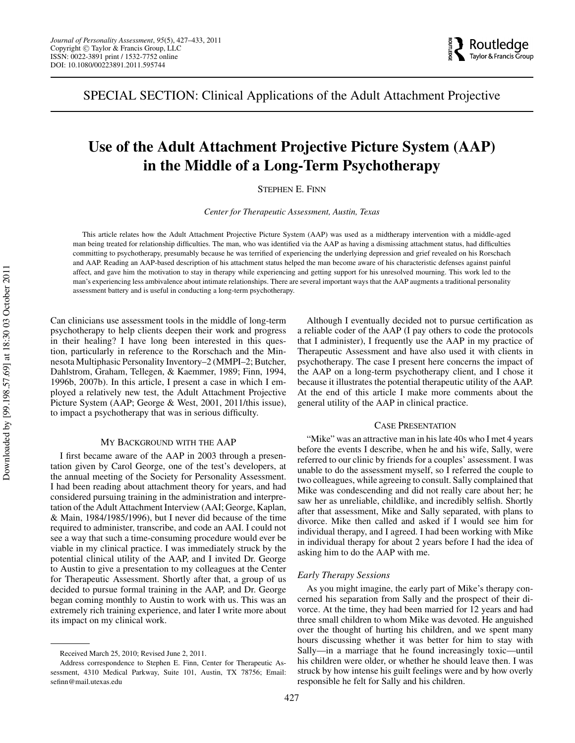

SPECIAL SECTION: Clinical Applications of the Adult Attachment Projective

# **Use of the Adult Attachment Projective Picture System (AAP) in the Middle of a Long-Term Psychotherapy**

STEPHEN E. FINN

*Center for Therapeutic Assessment, Austin, Texas*

This article relates how the Adult Attachment Projective Picture System (AAP) was used as a midtherapy intervention with a middle-aged man being treated for relationship difficulties. The man, who was identified via the AAP as having a dismissing attachment status, had difficulties committing to psychotherapy, presumably because he was terrified of experiencing the underlying depression and grief revealed on his Rorschach and AAP. Reading an AAP-based description of his attachment status helped the man become aware of his characteristic defenses against painful affect, and gave him the motivation to stay in therapy while experiencing and getting support for his unresolved mourning. This work led to the man's experiencing less ambivalence about intimate relationships. There are several important ways that the AAP augments a traditional personality assessment battery and is useful in conducting a long-term psychotherapy.

Can clinicians use assessment tools in the middle of long-term psychotherapy to help clients deepen their work and progress in their healing? I have long been interested in this question, particularly in reference to the Rorschach and the Minnesota Multiphasic Personality Inventory–2 (MMPI–2; Butcher, Dahlstrom, Graham, Tellegen, & Kaemmer, 1989; Finn, 1994, 1996b, 2007b). In this article, I present a case in which I employed a relatively new test, the Adult Attachment Projective Picture System (AAP; George & West, 2001, 2011/this issue), to impact a psychotherapy that was in serious difficulty.

# MY BACKGROUND WITH THE AAP

I first became aware of the AAP in 2003 through a presentation given by Carol George, one of the test's developers, at the annual meeting of the Society for Personality Assessment. I had been reading about attachment theory for years, and had considered pursuing training in the administration and interpretation of the Adult Attachment Interview (AAI; George, Kaplan, & Main, 1984/1985/1996), but I never did because of the time required to administer, transcribe, and code an AAI. I could not see a way that such a time-consuming procedure would ever be viable in my clinical practice. I was immediately struck by the potential clinical utility of the AAP, and I invited Dr. George to Austin to give a presentation to my colleagues at the Center for Therapeutic Assessment. Shortly after that, a group of us decided to pursue formal training in the AAP, and Dr. George began coming monthly to Austin to work with us. This was an extremely rich training experience, and later I write more about its impact on my clinical work.

427

Although I eventually decided not to pursue certification as a reliable coder of the AAP (I pay others to code the protocols that I administer), I frequently use the AAP in my practice of Therapeutic Assessment and have also used it with clients in psychotherapy. The case I present here concerns the impact of the AAP on a long-term psychotherapy client, and I chose it because it illustrates the potential therapeutic utility of the AAP. At the end of this article I make more comments about the general utility of the AAP in clinical practice.

# CASE PRESENTATION

"Mike" was an attractive man in his late 40s who I met 4 years before the events I describe, when he and his wife, Sally, were referred to our clinic by friends for a couples' assessment. I was unable to do the assessment myself, so I referred the couple to two colleagues, while agreeing to consult. Sally complained that Mike was condescending and did not really care about her; he saw her as unreliable, childlike, and incredibly selfish. Shortly after that assessment, Mike and Sally separated, with plans to divorce. Mike then called and asked if I would see him for individual therapy, and I agreed. I had been working with Mike in individual therapy for about 2 years before I had the idea of asking him to do the AAP with me.

# *Early Therapy Sessions*

As you might imagine, the early part of Mike's therapy concerned his separation from Sally and the prospect of their divorce. At the time, they had been married for 12 years and had three small children to whom Mike was devoted. He anguished over the thought of hurting his children, and we spent many hours discussing whether it was better for him to stay with Sally—in a marriage that he found increasingly toxic—until his children were older, or whether he should leave then. I was struck by how intense his guilt feelings were and by how overly responsible he felt for Sally and his children.

Received March 25, 2010; Revised June 2, 2011.

Address correspondence to Stephen E. Finn, Center for Therapeutic Assessment, 4310 Medical Parkway, Suite 101, Austin, TX 78756; Email: sefinn@mail.utexas.edu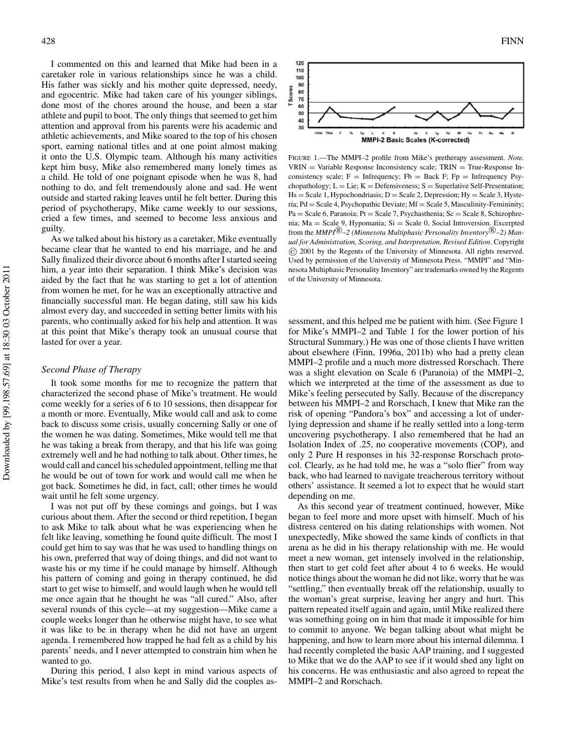I commented on this and learned that Mike had been in a caretaker role in various relationships since he was a child. His father was sickly and his mother quite depressed, needy, and egocentric. Mike had taken care of his younger siblings, done most of the chores around the house, and been a star athlete and pupil to boot. The only things that seemed to get him attention and approval from his parents were his academic and athletic achievements, and Mike soared to the top of his chosen sport, earning national titles and at one point almost making it onto the U.S. Olympic team. Although his many activities kept him busy, Mike also remembered many lonely times as a child. He told of one poignant episode when he was 8, had nothing to do, and felt tremendously alone and sad. He went outside and started raking leaves until he felt better. During this period of psychotherapy, Mike came weekly to our sessions, cried a few times, and seemed to become less anxious and guilty.

As we talked about his history as a caretaker, Mike eventually became clear that he wanted to end his marriage, and he and Sally finalized their divorce about 6 months after I started seeing him, a year into their separation. I think Mike's decision was aided by the fact that he was starting to get a lot of attention from women he met, for he was an exceptionally attractive and financially successful man. He began dating, still saw his kids almost every day, and succeeded in setting better limits with his parents, who continually asked for his help and attention. It was at this point that Mike's therapy took an unusual course that lasted for over a year.

# *Second Phase of Therapy*

It took some months for me to recognize the pattern that characterized the second phase of Mike's treatment. He would come weekly for a series of 6 to 10 sessions, then disappear for a month or more. Eventually, Mike would call and ask to come back to discuss some crisis, usually concerning Sally or one of the women he was dating. Sometimes, Mike would tell me that he was taking a break from therapy, and that his life was going extremely well and he had nothing to talk about. Other times, he would call and cancel his scheduled appointment, telling me that he would be out of town for work and would call me when he got back. Sometimes he did, in fact, call; other times he would wait until he felt some urgency.

I was not put off by these comings and goings, but I was curious about them. After the second or third repetition, I began to ask Mike to talk about what he was experiencing when he felt like leaving, something he found quite difficult. The most I could get him to say was that he was used to handling things on his own, preferred that way of doing things, and did not want to waste his or my time if he could manage by himself. Although his pattern of coming and going in therapy continued, he did start to get wise to himself, and would laugh when he would tell me once again that he thought he was "all cured." Also, after several rounds of this cycle—at my suggestion—Mike came a couple weeks longer than he otherwise might have, to see what it was like to be in therapy when he did not have an urgent agenda. I remembered how trapped he had felt as a child by his parents' needs, and I never attempted to constrain him when he wanted to go.

During this period, I also kept in mind various aspects of Mike's test results from when he and Sally did the couples as-



FIGURE 1.—The MMPI–2 profile from Mike's pretherapy assessment. *Note.* VRIN = Variable Response Inconsistency scale; TRIN = True-Response Inconsistency scale;  $F =$  Infrequency;  $Fb =$  Back F;  $Fp =$  Infrequency Psychopathology;  $L = Lie$ ;  $K = Defensiveness$ ;  $S = Superlative Self-Presentation$ ;  $Hs = Scale 1$ , Hypochondriasis;  $D = Scale 2$ , Depression;  $Hy = Scale 3$ , Hysteria; Pd = Scale 4, Psychopathic Deviate; Mf = Scale 5, Masculinity-Femininity;  $Pa = Scale 6$ , Paranoia; Pt = Scale 7, Psychasthenia; Sc = Scale 8, Schizophrenia; Ma = Scale 9, Hypomania; Si = Scale 0, Social Introversion. Excerpted from the  $MMPI^{\textcircled{R}}-2$  (Minnesota Multiphasic Personality Inventory<sup>®</sup>-2) Man*ual for Administration, Scoring, and Interpretation, Revised Edition.* Copyright © 2001 by the Regents of the University of Minnesota. All rights reserved. Used by permission of the University of Minnesota Press. "MMPI" and "Minnesota Multiphasic Personality Inventory" are trademarks owned by the Regents of the University of Minnesota.

sessment, and this helped me be patient with him. (See Figure 1 for Mike's MMPI–2 and Table 1 for the lower portion of his Structural Summary.) He was one of those clients I have written about elsewhere (Finn, 1996a, 2011b) who had a pretty clean MMPI–2 profile and a much more distressed Rorschach. There was a slight elevation on Scale 6 (Paranoia) of the MMPI–2, which we interpreted at the time of the assessment as due to Mike's feeling persecuted by Sally. Because of the discrepancy between his MMPI–2 and Rorschach, I knew that Mike ran the risk of opening "Pandora's box" and accessing a lot of underlying depression and shame if he really settled into a long-term uncovering psychotherapy. I also remembered that he had an Isolation Index of .25, no cooperative movements (COP), and only 2 Pure H responses in his 32-response Rorschach protocol. Clearly, as he had told me, he was a "solo flier" from way back, who had learned to navigate treacherous territory without others' assistance. It seemed a lot to expect that he would start depending on me.

As this second year of treatment continued, however, Mike began to feel more and more upset with himself. Much of his distress centered on his dating relationships with women. Not unexpectedly, Mike showed the same kinds of conflicts in that arena as he did in his therapy relationship with me. He would meet a new woman, get intensely involved in the relationship, then start to get cold feet after about 4 to 6 weeks. He would notice things about the woman he did not like, worry that he was "settling," then eventually break off the relationship, usually to the woman's great surprise, leaving her angry and hurt. This pattern repeated itself again and again, until Mike realized there was something going on in him that made it impossible for him to commit to anyone. We began talking about what might be happening, and how to learn more about his internal dilemma. I had recently completed the basic AAP training, and I suggested to Mike that we do the AAP to see if it would shed any light on his concerns. He was enthusiastic and also agreed to repeat the MMPI–2 and Rorschach.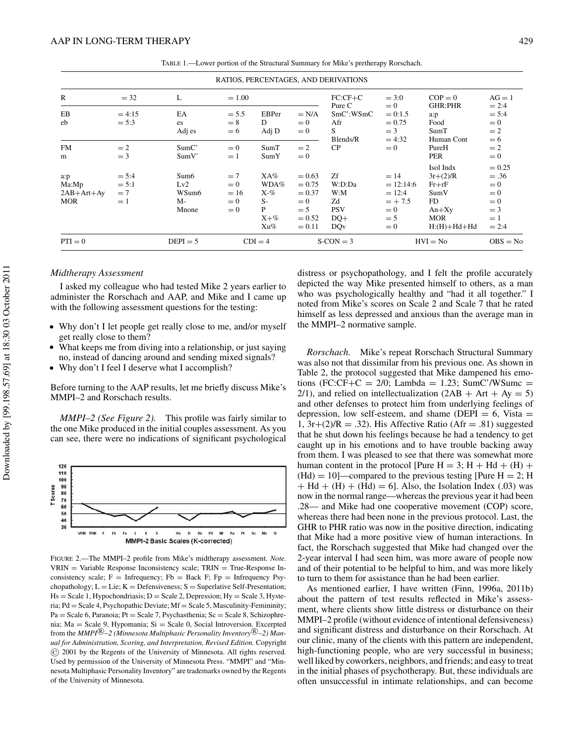| RATIOS, PERCENTAGES, AND DERIVATIONS       |                                    |                                                 |                                          |                                                                 |                                                                            |                                                                 |                                                                         |                                                                                                     |                                                                           |  |
|--------------------------------------------|------------------------------------|-------------------------------------------------|------------------------------------------|-----------------------------------------------------------------|----------------------------------------------------------------------------|-----------------------------------------------------------------|-------------------------------------------------------------------------|-----------------------------------------------------------------------------------------------------|---------------------------------------------------------------------------|--|
| $\mathbf R$                                | $=$ 32                             | L                                               | $=1.00$                                  |                                                                 |                                                                            | $FC:CF+C$<br>Pure C                                             | $= 3:0$<br>$= 0$                                                        | $COP = 0$<br>GHR:PHR                                                                                | $AG = 1$<br>$= 2:4$                                                       |  |
| EB<br>eb                                   | $=4:15$<br>$= 5:3$                 | EA<br>es<br>Adj es                              | $= 5.5$<br>$= 8$<br>$= 6$                | EBPer<br>D<br>Adj D                                             | $=N/A$<br>$= 0$<br>$= 0$                                                   | $SmC'$ : WSmC<br>Afr<br>S<br>Blends/R                           | $= 0:1.5$<br>$= 0.75$<br>$=$ 3<br>$=4:32$                               | a:p<br>Food<br>SumT<br>Human Cont                                                                   | $= 5:4$<br>$= 0$<br>$= 2$<br>$= 6$                                        |  |
| <b>FM</b><br>m                             | $= 2$<br>$=$ 3                     | SumC'<br>SumV'                                  | $= 0$<br>$=1$                            | SumT<br>SumY                                                    | $=2$<br>$= 0$                                                              | CP                                                              | $= 0$                                                                   | PureH<br><b>PER</b>                                                                                 | $= 2$<br>$= 0$                                                            |  |
| a:p<br>Ma:Mp<br>$2AB+Art+Ay$<br><b>MOR</b> | $= 5:4$<br>$= 5:1$<br>$=7$<br>$=1$ | Sum <sub>6</sub><br>Lv2<br>WSum6<br>M-<br>Mnone | $=7$<br>$= 0$<br>$=16$<br>$= 0$<br>$= 0$ | $XA\%$<br>$WDA\%$<br>$X -\%$<br>$S-$<br>P<br>$X + \%$<br>$Xu\%$ | $= 0.63$<br>$= 0.75$<br>$= 0.37$<br>$= 0$<br>$= 5$<br>$= 0.52$<br>$= 0.11$ | Zf<br>W:D:Da<br>W: M<br>Zd<br><b>PSV</b><br>$DQ+$<br><b>DOv</b> | $=14$<br>$= 12:14:6$<br>$= 12:4$<br>$= +7.5$<br>$= 0$<br>$= 5$<br>$= 0$ | Isol Indx<br>$3r+(2)/R$<br>$Fr + rF$<br>SumV<br><b>FD</b><br>$An+Xy$<br><b>MOR</b><br>$H:(H)+Hd+Hd$ | $= 0.25$<br>$=.36$<br>$= 0$<br>$= 0$<br>$= 0$<br>$=$ 3<br>$=1$<br>$= 2:4$ |  |
| $PTI = 0$                                  |                                    | $DEPI = 5$                                      |                                          | $CDI = 4$                                                       |                                                                            | $S-CON = 3$                                                     | $HVI = No$                                                              | $OBS = No$                                                                                          |                                                                           |  |

TABLE 1.—Lower portion of the Structural Summary for Mike's pretherapy Rorschach.

# *Midtherapy Assessment*

I asked my colleague who had tested Mike 2 years earlier to administer the Rorschach and AAP, and Mike and I came up with the following assessment questions for the testing:

- Why don't I let people get really close to me, and/or myself get really close to them?
- ! What keeps me from diving into a relationship, or just saying no, instead of dancing around and sending mixed signals?
- Why don't I feel I deserve what I accomplish?

Before turning to the AAP results, let me briefly discuss Mike's MMPI–2 and Rorschach results.

*MMPI–2 (See Figure 2).* This profile was fairly similar to the one Mike produced in the initial couples assessment. As you can see, there were no indications of significant psychological



FIGURE 2.—The MMPI–2 profile from Mike's midtherapy assessment. *Note.* VRIN = Variable Response Inconsistency scale; TRIN = True-Response Inconsistency scale;  $F =$  Infrequency;  $Fb =$  Back F;  $Fp =$  Infrequency Psychopathology;  $L = Lie$ ;  $K = Defensiveness$ ;  $S = Superlative Self-Presentation$ ;  $Hs = Scale 1$ , Hypochondriasis;  $D = Scale 2$ , Depression; Hy = Scale 3, Hysteria; Pd = Scale 4, Psychopathic Deviate; Mf = Scale 5, Masculinity-Femininity; Pa = Scale 6, Paranoia; Pt = Scale 7, Psychasthenia; Sc = Scale 8, Schizophrenia; Ma = Scale 9, Hypomania; Si = Scale 0, Social Introversion. Excerpted from the *MMPI*<sup>(*R*)</sup>–2 (*Minnesota Multiphasic Personality Inventory*<sup>(*R*)</sup>–2) Man*ual for Administration, Scoring, and Interpretation, Revised Edition.* Copyright © 2001 by the Regents of the University of Minnesota. All rights reserved. Used by permission of the University of Minnesota Press. "MMPI" and "Minnesota Multiphasic Personality Inventory" are trademarks owned by the Regents of the University of Minnesota.

distress or psychopathology, and I felt the profile accurately depicted the way Mike presented himself to others, as a man who was psychologically healthy and "had it all together." I noted from Mike's scores on Scale 2 and Scale 7 that he rated himself as less depressed and anxious than the average man in the MMPI–2 normative sample.

*Rorschach.* Mike's repeat Rorschach Structural Summary was also not that dissimilar from his previous one. As shown in Table 2, the protocol suggested that Mike dampened his emotions (FC:CF+C =  $2/0$ ; Lambda = 1.23; SumC'/WSumc = 2/1), and relied on intellectualization  $(2AB + Art + Ay = 5)$ and other defenses to protect him from underlying feelings of depression, low self-esteem, and shame (DEPI  $= 6$ , Vista  $=$ 1,  $3r+(2)/R = .32$ ). His Affective Ratio (Afr = .81) suggested that he shut down his feelings because he had a tendency to get caught up in his emotions and to have trouble backing away from them. I was pleased to see that there was somewhat more human content in the protocol [Pure  $H = 3$ ;  $H + Hd + (H) +$  $(Hd) = 10$  —compared to the previous testing [Pure H = 2; H  $+$  Hd  $+$  (H)  $+$  (Hd)  $=$  6]. Also, the Isolation Index (.03) was now in the normal range—whereas the previous year it had been .28— and Mike had one cooperative movement (COP) score, whereas there had been none in the previous protocol. Last, the GHR to PHR ratio was now in the positive direction, indicating that Mike had a more positive view of human interactions. In fact, the Rorschach suggested that Mike had changed over the 2-year interval I had seen him, was more aware of people now and of their potential to be helpful to him, and was more likely to turn to them for assistance than he had been earlier.

As mentioned earlier, I have written (Finn, 1996a, 2011b) about the pattern of test results reflected in Mike's assessment, where clients show little distress or disturbance on their MMPI–2 profile (without evidence of intentional defensiveness) and significant distress and disturbance on their Rorschach. At our clinic, many of the clients with this pattern are independent, high-functioning people, who are very successful in business; well liked by coworkers, neighbors, and friends; and easy to treat in the initial phases of psychotherapy. But, these individuals are often unsuccessful in intimate relationships, and can become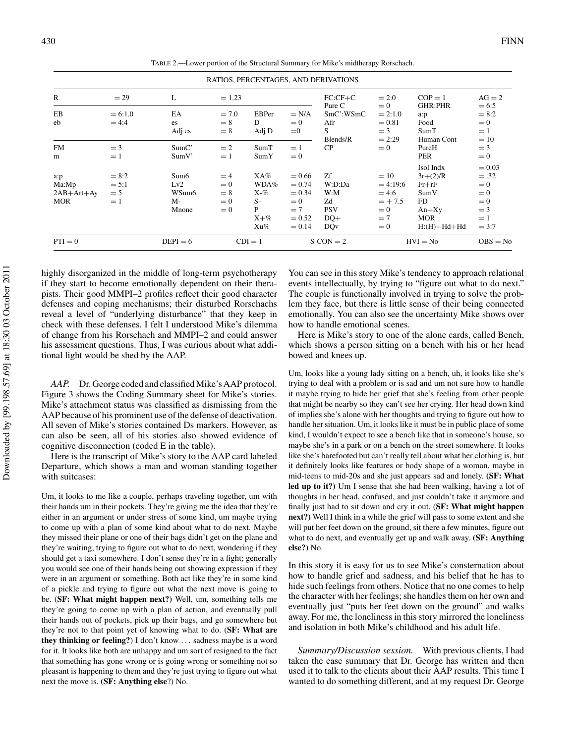| RATIOS, PERCENTAGES, AND DERIVATIONS       |                                     |                                                   |                                          |                                                            |                                                                           |                                                                |                                                                     |                                                                                                     |                                                                           |  |
|--------------------------------------------|-------------------------------------|---------------------------------------------------|------------------------------------------|------------------------------------------------------------|---------------------------------------------------------------------------|----------------------------------------------------------------|---------------------------------------------------------------------|-----------------------------------------------------------------------------------------------------|---------------------------------------------------------------------------|--|
| R                                          | $= 29$                              | L                                                 | $= 1.23$                                 |                                                            |                                                                           | $FC:CF+C$                                                      | $= 2:0$                                                             | $COP = 1$                                                                                           | $AG = 2$                                                                  |  |
| EB<br>eb                                   | $= 6:1.0$<br>$= 4:4$                | EA<br>es<br>Adj es                                | $= 7.0$<br>$= 8$<br>$= 8$                | <b>EBPer</b><br>D<br>Adj D                                 | $=N/A$<br>$= 0$<br>$=0$                                                   | Pure C<br>$SmC'$ : WSmC<br>Afr<br>S<br>Blends/R                | $= 0$<br>$= 2:1.0$<br>$= 0.81$<br>$=$ 3<br>$= 2:29$                 | GHR:PHR<br>a:p<br>Food<br>SumT<br>Human Cont                                                        | $= 6:5$<br>$= 8:2$<br>$= 0$<br>$=1$<br>$=10$                              |  |
| <b>FM</b><br>m                             | $=$ 3<br>$=1$                       | SumC'<br>SumV'                                    | $=2$<br>$=1$                             | SumT<br>SumY                                               | $=1$<br>$= 0$                                                             | CP                                                             | $= 0$                                                               | PureH<br><b>PER</b>                                                                                 | $=$ 3<br>$= 0$                                                            |  |
| a:p<br>Ma:Mp<br>$2AB+Art+Ay$<br><b>MOR</b> | $= 8:2$<br>$= 5:1$<br>$= 5$<br>$=1$ | Sum <sub>6</sub><br>Lv2<br>WSum6<br>$M-$<br>Mnone | $=4$<br>$= 0$<br>$= 8$<br>$= 0$<br>$= 0$ | XA%<br>$WDA\%$<br>$X - \%$<br>$S-$<br>P<br>$X + \%$<br>Xu% | $= 0.66$<br>$= 0.74$<br>$= 0.34$<br>$= 0$<br>$=7$<br>$= 0.52$<br>$= 0.14$ | Zf<br>W:D:Da<br>W:M<br>Zd<br><b>PSV</b><br>$DQ+$<br><b>DQv</b> | $=10$<br>$=4:19:6$<br>$= 4:6$<br>$= +7.5$<br>$= 0$<br>$=7$<br>$= 0$ | Isol Indx<br>$3r+(2)/R$<br>$Fr + rF$<br>SumV<br><b>FD</b><br>$An+Xy$<br><b>MOR</b><br>$H:(H)+Hd+Hd$ | $= 0.03$<br>$=.32$<br>$= 0$<br>$= 0$<br>$= 0$<br>$=$ 3<br>$=1$<br>$= 3:7$ |  |
| $PTI = 0$                                  |                                     | $DEPI = 6$                                        | $CDI = 1$                                |                                                            | $S-CON = 2$                                                               |                                                                | $HVI = No$                                                          |                                                                                                     | $OBS = No$                                                                |  |

TABLE 2.—Lower portion of the Structural Summary for Mike's midtherapy Rorschach.

highly disorganized in the middle of long-term psychotherapy if they start to become emotionally dependent on their therapists. Their good MMPI–2 profiles reflect their good character defenses and coping mechanisms; their disturbed Rorschachs reveal a level of "underlying disturbance" that they keep in check with these defenses. I felt I understood Mike's dilemma of change from his Rorschach and MMPI–2 and could answer his assessment questions. Thus, I was curious about what additional light would be shed by the AAP.

*AAP.* Dr. George coded and classified Mike's AAP protocol. Figure 3 shows the Coding Summary sheet for Mike's stories. Mike's attachment status was classified as dismissing from the AAP because of his prominent use of the defense of deactivation. All seven of Mike's stories contained Ds markers. However, as can also be seen, all of his stories also showed evidence of cognitive disconnection (coded E in the table).

Here is the transcript of Mike's story to the AAP card labeled Departure, which shows a man and woman standing together with suitcases:

Um, it looks to me like a couple, perhaps traveling together, um with their hands um in their pockets. They're giving me the idea that they're either in an argument or under stress of some kind, um maybe trying to come up with a plan of some kind about what to do next. Maybe they missed their plane or one of their bags didn't get on the plane and they're waiting, trying to figure out what to do next, wondering if they should get a taxi somewhere. I don't sense they're in a fight; generally you would see one of their hands being out showing expression if they were in an argument or something. Both act like they're in some kind of a pickle and trying to figure out what the next move is going to be. (**SF: What might happen next?)** Well, um, something tells me they're going to come up with a plan of action, and eventually pull their hands out of pockets, pick up their bags, and go somewhere but they're not to that point yet of knowing what to do. (**SF: What are they thinking or feeling?**) I don't know *...* sadness maybe is a word for it. It looks like both are unhappy and um sort of resigned to the fact that something has gone wrong or is going wrong or something not so pleasant is happening to them and they're just trying to figure out what next the move is. **(SF: Anything else**?) No.

You can see in this story Mike's tendency to approach relational events intellectually, by trying to "figure out what to do next." The couple is functionally involved in trying to solve the problem they face, but there is little sense of their being connected emotionally. You can also see the uncertainty Mike shows over how to handle emotional scenes.

Here is Mike's story to one of the alone cards, called Bench, which shows a person sitting on a bench with his or her head bowed and knees up.

Um, looks like a young lady sitting on a bench, uh, it looks like she's trying to deal with a problem or is sad and um not sure how to handle it maybe trying to hide her grief that she's feeling from other people that might be nearby so they can't see her crying. Her head down kind of implies she's alone with her thoughts and trying to figure out how to handle her situation. Um, it looks like it must be in public place of some kind, I wouldn't expect to see a bench like that in someone's house, so maybe she's in a park or on a bench on the street somewhere. It looks like she's barefooted but can't really tell about what her clothing is, but it definitely looks like features or body shape of a woman, maybe in mid-teens to mid-20s and she just appears sad and lonely. **(SF: What led up to it?)** Um I sense that she had been walking, having a lot of thoughts in her head, confused, and just couldn't take it anymore and finally just had to sit down and cry it out. (**SF: What might happen next?)** Well I think in a while the grief will pass to some extent and she will put her feet down on the ground, sit there a few minutes, figure out what to do next, and eventually get up and walk away. **(SF: Anything else?)** No.

In this story it is easy for us to see Mike's consternation about how to handle grief and sadness, and his belief that he has to hide such feelings from others. Notice that no one comes to help the character with her feelings; she handles them on her own and eventually just "puts her feet down on the ground" and walks away. For me, the loneliness in this story mirrored the loneliness and isolation in both Mike's childhood and his adult life.

*Summary/Discussion session.* With previous clients, I had taken the case summary that Dr. George has written and then used it to talk to the clients about their AAP results. This time I wanted to do something different, and at my request Dr. George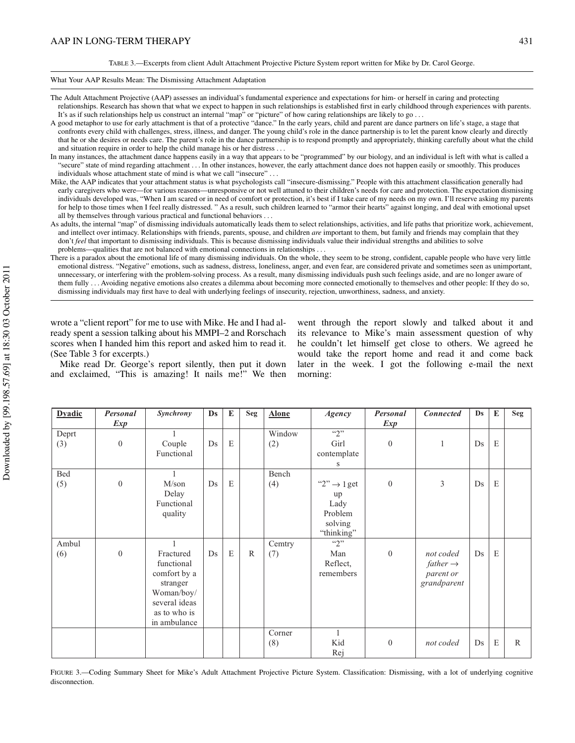# AAP IN LONG-TERM THERAPY 431

TABLE 3.—Excerpts from client Adult Attachment Projective Picture System report written for Mike by Dr. Carol George.

What Your AAP Results Mean: The Dismissing Attachment Adaptation

- The Adult Attachment Projective (AAP) assesses an individual's fundamental experience and expectations for him- or herself in caring and protecting relationships. Research has shown that what we expect to happen in such relationships is established first in early childhood through experiences with parents. It's as if such relationships help us construct an internal "map" or "picture" of how caring relationships are likely to go . . .
- A good metaphor to use for early attachment is that of a protective "dance." In the early years, child and parent are dance partners on life's stage, a stage that confronts every child with challenges, stress, illness, and danger. The young child's role in the dance partnership is to let the parent know clearly and directly that he or she desires or needs care. The parent's role in the dance partnership is to respond promptly and appropriately, thinking carefully about what the child and situation require in order to help the child manage his or her distress . . .
- In many instances, the attachment dance happens easily in a way that appears to be "programmed" by our biology, and an individual is left with what is called a "secure" state of mind regarding attachment . . . In other instances, however, the early attachment dance does not happen easily or smoothly. This produces individuals whose attachment state of mind is what we call "insecure" . . .
- Mike, the AAP indicates that your attachment status is what psychologists call "insecure-dismissing." People with this attachment classification generally had early caregivers who were—for various reasons—unresponsive or not well attuned to their children's needs for care and protection. The expectation dismissing individuals developed was, "When I am scared or in need of comfort or protection, it's best if I take care of my needs on my own. I'll reserve asking my parents for help to those times when I feel really distressed. " As a result, such children learned to "armor their hearts" against longing, and deal with emotional upset all by themselves through various practical and functional behaviors . . .
- As adults, the internal "map" of dismissing individuals automatically leads them to select relationships, activities, and life paths that prioritize work, achievement, and intellect over intimacy. Relationships with friends, parents, spouse, and children *are* important to them, but family and friends may complain that they don't *feel* that important to dismissing individuals. This is because dismissing individuals value their individual strengths and abilities to solve problems—qualities that are not balanced with emotional connections in relationships . . .
- There is a paradox about the emotional life of many dismissing individuals. On the whole, they seem to be strong, confident, capable people who have very little emotional distress. "Negative" emotions, such as sadness, distress, loneliness, anger, and even fear, are considered private and sometimes seen as unimportant, unnecessary, or interfering with the problem-solving process. As a result, many dismissing individuals push such feelings aside, and are no longer aware of them fully . . . Avoiding negative emotions also creates a dilemma about becoming more connected emotionally to themselves and other people: If they do so, dismissing individuals may first have to deal with underlying feelings of insecurity, rejection, unworthiness, sadness, and anxiety.

wrote a "client report" for me to use with Mike. He and I had already spent a session talking about his MMPI–2 and Rorschach scores when I handed him this report and asked him to read it. (See Table 3 for excerpts.)

went through the report slowly and talked about it and its relevance to Mike's main assessment question of why he couldn't let himself get close to others. We agreed he would take the report home and read it and come back later in the week. I got the following e-mail the next morning:

Mike read Dr. George's report silently, then put it down and exclaimed, "This is amazing! It nails me!" We then

| <b>Dyadic</b> | Personal     | Synchrony                                                                                                          | <b>Ds</b> | ${\bf E}$   | Seg          | <b>Alone</b>  | <b>Agency</b>                                                                 | Personal       | <b>Connected</b>                                              | Ds | E           | Seg          |
|---------------|--------------|--------------------------------------------------------------------------------------------------------------------|-----------|-------------|--------------|---------------|-------------------------------------------------------------------------------|----------------|---------------------------------------------------------------|----|-------------|--------------|
|               | Exp          |                                                                                                                    |           |             |              |               |                                                                               | Exp            |                                                               |    |             |              |
| Deprt<br>(3)  | $\mathbf{0}$ | Couple<br>Functional                                                                                               | Ds        | $\mathbf E$ |              | Window<br>(2) | $\mathfrak{so}_2$<br>Girl<br>contemplate<br>S                                 | $\overline{0}$ | 1                                                             | Ds | E           |              |
| Bed           |              |                                                                                                                    |           |             |              | Bench         |                                                                               |                |                                                               |    |             |              |
| (5)           | $\mathbf{0}$ | M/son<br>Delay<br>Functional<br>quality                                                                            | Ds        | E           |              | (4)           | " $2$ " $\rightarrow$ 1 get<br>up<br>Lady<br>Problem<br>solving<br>"thinking" | $\mathbf{0}$   | 3                                                             | Ds | $\mathbf E$ |              |
| Ambul         |              |                                                                                                                    |           |             |              | Cemtry        | $\mathfrak{so}$                                                               |                |                                                               |    |             |              |
| (6)           | $\mathbf{0}$ | Fractured<br>functional<br>comfort by a<br>stranger<br>Woman/boy/<br>several ideas<br>as to who is<br>in ambulance | Ds        | ${\bf E}$   | $\mathbb{R}$ | (7)           | Man<br>Reflect,<br>remembers                                                  | $\mathbf{0}$   | not coded<br>$father \rightarrow$<br>parent or<br>grandparent | Ds | $\mathbf E$ |              |
|               |              |                                                                                                                    |           |             |              | Corner<br>(8) | $\mathbf{1}$<br>Kid<br>Rej                                                    | $\mathbf{0}$   | not coded                                                     | Ds | E           | $\mathbb{R}$ |

FIGURE 3.—Coding Summary Sheet for Mike's Adult Attachment Projective Picture System. Classification: Dismissing, with a lot of underlying cognitive disconnection.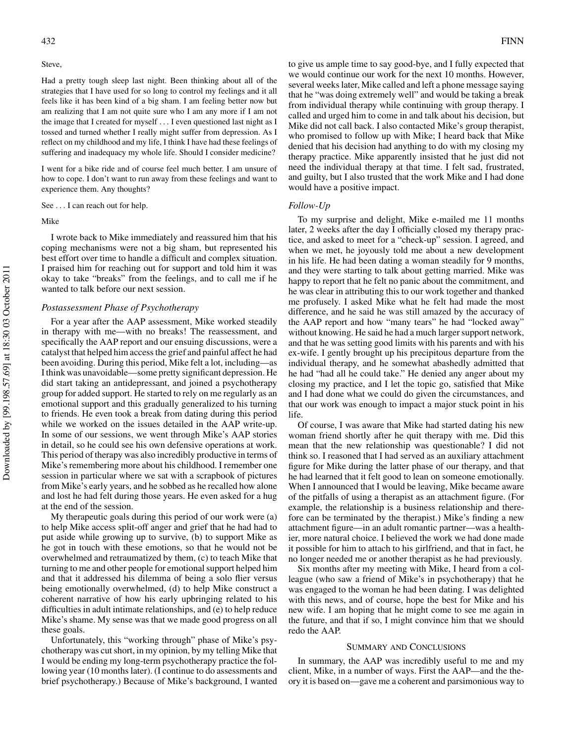#### Steve,

Had a pretty tough sleep last night. Been thinking about all of the strategies that I have used for so long to control my feelings and it all feels like it has been kind of a big sham. I am feeling better now but am realizing that I am not quite sure who I am any more if I am not the image that I created for myself *...* I even questioned last night as I tossed and turned whether I really might suffer from depression. As I reflect on my childhood and my life, I think I have had these feelings of suffering and inadequacy my whole life. Should I consider medicine?

I went for a bike ride and of course feel much better. I am unsure of how to cope. I don't want to run away from these feelings and want to experience them. Any thoughts?

See *...* I can reach out for help.

### Mike

I wrote back to Mike immediately and reassured him that his coping mechanisms were not a big sham, but represented his best effort over time to handle a difficult and complex situation. I praised him for reaching out for support and told him it was okay to take "breaks" from the feelings, and to call me if he wanted to talk before our next session.

# *Postassessment Phase of Psychotherapy*

For a year after the AAP assessment, Mike worked steadily in therapy with me—with no breaks! The reassessment, and specifically the AAP report and our ensuing discussions, were a catalyst that helped him access the grief and painful affect he had been avoiding. During this period, Mike felt a lot, including—as I think was unavoidable—some pretty significant depression. He did start taking an antidepressant, and joined a psychotherapy group for added support. He started to rely on me regularly as an emotional support and this gradually generalized to his turning to friends. He even took a break from dating during this period while we worked on the issues detailed in the AAP write-up. In some of our sessions, we went through Mike's AAP stories in detail, so he could see his own defensive operations at work. This period of therapy was also incredibly productive in terms of Mike's remembering more about his childhood. I remember one session in particular where we sat with a scrapbook of pictures from Mike's early years, and he sobbed as he recalled how alone and lost he had felt during those years. He even asked for a hug at the end of the session.

My therapeutic goals during this period of our work were (a) to help Mike access split-off anger and grief that he had had to put aside while growing up to survive, (b) to support Mike as he got in touch with these emotions, so that he would not be overwhelmed and retraumatized by them, (c) to teach Mike that turning to me and other people for emotional support helped him and that it addressed his dilemma of being a solo flier versus being emotionally overwhelmed, (d) to help Mike construct a coherent narrative of how his early upbringing related to his difficulties in adult intimate relationships, and (e) to help reduce Mike's shame. My sense was that we made good progress on all these goals.

Unfortunately, this "working through" phase of Mike's psychotherapy was cut short, in my opinion, by my telling Mike that I would be ending my long-term psychotherapy practice the following year (10 months later). (I continue to do assessments and brief psychotherapy.) Because of Mike's background, I wanted to give us ample time to say good-bye, and I fully expected that we would continue our work for the next 10 months. However, several weeks later, Mike called and left a phone message saying that he "was doing extremely well" and would be taking a break from individual therapy while continuing with group therapy. I called and urged him to come in and talk about his decision, but Mike did not call back. I also contacted Mike's group therapist, who promised to follow up with Mike; I heard back that Mike denied that his decision had anything to do with my closing my therapy practice. Mike apparently insisted that he just did not need the individual therapy at that time. I felt sad, frustrated, and guilty, but I also trusted that the work Mike and I had done would have a positive impact.

# *Follow-Up*

To my surprise and delight, Mike e-mailed me 11 months later, 2 weeks after the day I officially closed my therapy practice, and asked to meet for a "check-up" session. I agreed, and when we met, he joyously told me about a new development in his life. He had been dating a woman steadily for 9 months, and they were starting to talk about getting married. Mike was happy to report that he felt no panic about the commitment, and he was clear in attributing this to our work together and thanked me profusely. I asked Mike what he felt had made the most difference, and he said he was still amazed by the accuracy of the AAP report and how "many tears" he had "locked away" without knowing. He said he had a much larger support network, and that he was setting good limits with his parents and with his ex-wife. I gently brought up his precipitous departure from the individual therapy, and he somewhat abashedly admitted that he had "had all he could take." He denied any anger about my closing my practice, and I let the topic go, satisfied that Mike and I had done what we could do given the circumstances, and that our work was enough to impact a major stuck point in his life.

Of course, I was aware that Mike had started dating his new woman friend shortly after he quit therapy with me. Did this mean that the new relationship was questionable? I did not think so. I reasoned that I had served as an auxiliary attachment figure for Mike during the latter phase of our therapy, and that he had learned that it felt good to lean on someone emotionally. When I announced that I would be leaving, Mike became aware of the pitfalls of using a therapist as an attachment figure. (For example, the relationship is a business relationship and therefore can be terminated by the therapist.) Mike's finding a new attachment figure—in an adult romantic partner—was a healthier, more natural choice. I believed the work we had done made it possible for him to attach to his girlfriend, and that in fact, he no longer needed me or another therapist as he had previously.

Six months after my meeting with Mike, I heard from a colleague (who saw a friend of Mike's in psychotherapy) that he was engaged to the woman he had been dating. I was delighted with this news, and of course, hope the best for Mike and his new wife. I am hoping that he might come to see me again in the future, and that if so, I might convince him that we should redo the AAP.

# SUMMARY AND CONCLUSIONS

In summary, the AAP was incredibly useful to me and my client, Mike, in a number of ways. First the AAP—and the theory it is based on—gave me a coherent and parsimonious way to